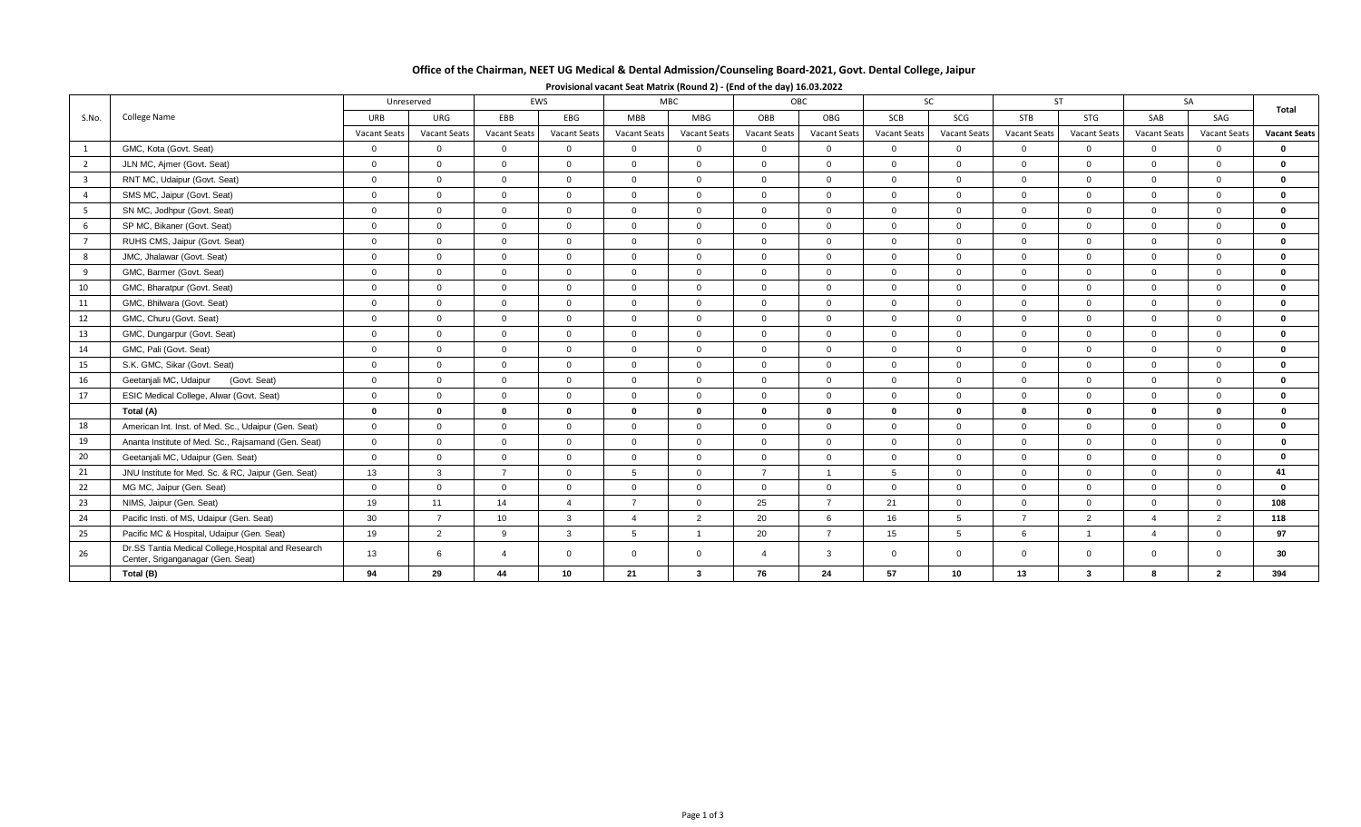# **Office of the Chairman, NEET UG Medical & Dental Admission/Counseling Board-2021, Govt. Dental College, Jaipur**

| S.No.                   | College Name                                                                             | Unreserved          |                     | EWS                 |                     | MBC.           |                     | OBC            |                | <b>SC</b>           |                | <b>ST</b>           |                         | <b>SA</b>           |                     | Total               |
|-------------------------|------------------------------------------------------------------------------------------|---------------------|---------------------|---------------------|---------------------|----------------|---------------------|----------------|----------------|---------------------|----------------|---------------------|-------------------------|---------------------|---------------------|---------------------|
|                         |                                                                                          | URB                 | URG                 | EBB                 | EBG                 | <b>MBB</b>     | <b>MBG</b>          | OBB            | OBG            | SCB                 | SCG            | <b>STB</b>          | STG                     | SAB                 | SAG                 |                     |
|                         |                                                                                          | <b>Vacant Seats</b> | <b>Vacant Seats</b> | <b>Vacant Seats</b> | <b>Vacant Seats</b> | Vacant Seats   | <b>Vacant Seats</b> | Vacant Seats   | Vacant Seats   | <b>Vacant Seats</b> | Vacant Seats   | <b>Vacant Seats</b> | Vacant Seats            | <b>Vacant Seats</b> | <b>Vacant Seats</b> | <b>Vacant Seats</b> |
| $\overline{1}$          | GMC, Kota (Govt. Seat)                                                                   | $\mathbf 0$         | $\mathbf{0}$        | $\mathbf{0}$        | $\mathbf{0}$        | $\overline{0}$ | $\mathbf{0}$        | $\mathbf{0}$   | $\overline{0}$ | $\overline{0}$      | $\overline{0}$ | $\overline{0}$      | $\overline{0}$          | $\overline{0}$      | $\mathbf{0}$        | $\Omega$            |
| $\overline{2}$          | JLN MC, Ajmer (Govt. Seat)                                                               | $\overline{0}$      | $\Omega$            | $\Omega$            | $\Omega$            | $\Omega$       | $\Omega$            | $\Omega$       | $\Omega$       | $\Omega$            | $\Omega$       | $\Omega$            | $\Omega$                | $\Omega$            | $\Omega$            | $\Omega$            |
| $\overline{\mathbf{3}}$ | RNT MC, Udaipur (Govt. Seat)                                                             | $\mathbf 0$         | $\overline{0}$      | $\mathbf{0}$        | $\overline{0}$      | $\overline{0}$ | $\overline{0}$      | $\Omega$       | $\Omega$       | $\overline{0}$      | $\mathbf 0$    | $\overline{0}$      | $\overline{0}$          | $\Omega$            | $\Omega$            | $\mathbf{0}$        |
| $\overline{4}$          | SMS MC, Jaipur (Govt. Seat)                                                              | $\overline{0}$      | $\overline{0}$      | $\overline{0}$      | $\Omega$            | $\Omega$       | $\Omega$            | $\Omega$       | $\Omega$       | $\Omega$            | $\overline{0}$ | $\overline{0}$      | $\overline{0}$          | $\Omega$            | $\Omega$            | $\mathbf{0}$        |
| 5                       | SN MC, Jodhpur (Govt. Seat)                                                              | $\mathbf 0$         | $\mathbf 0$         | $\mathbf{0}$        | $\overline{0}$      | $\overline{0}$ | $\Omega$            | $\Omega$       | $\mathbf 0$    | $\mathbf 0$         | $\mathbf 0$    | $\overline{0}$      | $\overline{0}$          | $\Omega$            | $\Omega$            | $\mathbf{0}$        |
| 6                       | SP MC, Bikaner (Govt. Seat)                                                              | $\overline{0}$      | $\Omega$            | $\overline{0}$      | $\Omega$            | $\Omega$       | $\Omega$            | $\Omega$       | $\Omega$       | $\Omega$            | $\Omega$       | $\overline{0}$      | $\overline{0}$          | $\Omega$            | $\Omega$            | $\mathbf{0}$        |
| $\overline{7}$          | RUHS CMS, Jaipur (Govt. Seat)                                                            | $\mathbf 0$         | $\Omega$            | $\mathbf{0}$        | $\overline{0}$      | $\overline{0}$ | $\Omega$            | $\Omega$       | $\mathbf 0$    | $\Omega$            | $\Omega$       | $\overline{0}$      | $\overline{0}$          | $\Omega$            | $\Omega$            | $\Omega$            |
| 8                       | JMC, Jhalawar (Govt. Seat)                                                               | $\overline{0}$      | $\overline{0}$      | $\overline{0}$      | $\overline{0}$      | $\overline{0}$ | $\overline{0}$      | $\Omega$       | $\overline{0}$ | $\overline{0}$      | $\overline{0}$ | $\overline{0}$      | $\overline{0}$          | $\overline{0}$      | $\overline{0}$      | $\mathbf{0}$        |
| $\overline{9}$          | GMC, Barmer (Govt. Seat)                                                                 | $\overline{0}$      | $\Omega$            | $\overline{0}$      | $\Omega$            | $\Omega$       | $\Omega$            | $\Omega$       | $\Omega$       | $\Omega$            | $\Omega$       | $\Omega$            | $\Omega$                | $\Omega$            | $\Omega$            | $\mathbf{0}$        |
| 10                      | GMC, Bharatpur (Govt. Seat)                                                              | $\mathbf 0$         | $\overline{0}$      | $\mathbf{0}$        | $\mathbf{0}$        | $\overline{0}$ | $\Omega$            | $\Omega$       | $\overline{0}$ | $\Omega$            | $\mathbf 0$    | $\overline{0}$      | $\overline{0}$          | $\Omega$            | $\Omega$            | $\mathbf{0}$        |
| 11                      | GMC, Bhilwara (Govt. Seat)                                                               | $\overline{0}$      | $\mathbf{0}$        | $\mathbf{0}$        | $\overline{0}$      | $\overline{0}$ | $\overline{0}$      | $\Omega$       | $\Omega$       | $\Omega$            | $\mathbf{0}$   | $\overline{0}$      | $\overline{0}$          | $\Omega$            | $\Omega$            | $\Omega$            |
| 12                      | GMC, Churu (Govt. Seat)                                                                  | $\overline{0}$      | $\mathbf 0$         | $\mathbf{0}$        | $\Omega$            | $\overline{0}$ | $\Omega$            | $\Omega$       | $\overline{0}$ | $\Omega$            | $\mathbf 0$    | $\overline{0}$      | $\overline{0}$          | $\Omega$            | $\Omega$            | $\mathbf{0}$        |
| 13                      | GMC, Dungarpur (Govt. Seat)                                                              | $\overline{0}$      | $\Omega$            | $\Omega$            | $\Omega$            | $\Omega$       | $\Omega$            | $\Omega$       | $\overline{0}$ | $\Omega$            | $\overline{0}$ | $\overline{0}$      | $\overline{0}$          | $\Omega$            | $\Omega$            | $\Omega$            |
| 14                      | GMC, Pali (Govt. Seat)                                                                   | $\mathbf 0$         | $\Omega$            | $\Omega$            | $\Omega$            | $\overline{0}$ | $\Omega$            | $\Omega$       | $\Omega$       | $\Omega$            | $\Omega$       | $\overline{0}$      | $\overline{0}$          | $\Omega$            | $\Omega$            | $\mathbf{0}$        |
| 15                      | S.K. GMC, Sikar (Govt. Seat)                                                             | $\overline{0}$      | $\overline{0}$      | $\overline{0}$      | $\mathbf{0}$        | $\overline{0}$ | $\overline{0}$      | $\Omega$       | $\overline{0}$ | $\mathbf 0$         | $\overline{0}$ | $\overline{0}$      | $\overline{0}$          | $\overline{0}$      | $\overline{0}$      | $\mathbf{0}$        |
| 16                      | Geetanjali MC, Udaipur<br>(Govt. Seat)                                                   | $\mathbf 0$         | $\mathbf{0}$        | $\mathbf{0}$        | $\overline{0}$      | $\overline{0}$ | $\Omega$            | $\Omega$       | $\overline{0}$ | $\mathbf 0$         | $\overline{0}$ | $\overline{0}$      | $\overline{0}$          | $\Omega$            | $\Omega$            | $\mathbf{0}$        |
| 17                      | ESIC Medical College, Alwar (Govt. Seat)                                                 | $\overline{0}$      | $\overline{0}$      | $\mathbf{0}$        | $\Omega$            | $\overline{0}$ | $\overline{0}$      | $\Omega$       | $\overline{0}$ | $\mathbf 0$         | $\overline{0}$ | $\overline{0}$      | $\overline{0}$          | $\Omega$            | $\overline{0}$      | $\mathbf{0}$        |
|                         | Total (A)                                                                                | $\mathbf 0$         | $\bf{0}$            | $\bf{0}$            | $\bf{0}$            | $\mathbf{0}$   | $\bf{0}$            | $\mathbf{0}$   | $\bf{0}$       | $\mathbf{0}$        | $\bf{0}$       | $\bf{0}$            | $\mathbf{0}$            | $\bf{0}$            | $\bf{0}$            | $\mathbf{0}$        |
| 18                      | American Int. Inst. of Med. Sc., Udaipur (Gen. Seat)                                     | $\overline{0}$      | $\mathbf 0$         | $\mathbf{0}$        | $\Omega$            | $\overline{0}$ | $\Omega$            | $\Omega$       | $\overline{0}$ | $\Omega$            | $\mathbf 0$    | $\overline{0}$      | $\overline{0}$          | $\Omega$            | $\Omega$            | $\mathbf{0}$        |
| 19                      | Ananta Institute of Med. Sc., Rajsamand (Gen. Seat)                                      | $\overline{0}$      | $\Omega$            | $\Omega$            | $\Omega$            | $\Omega$       | $\Omega$            | $\Omega$       | $\Omega$       | $\Omega$            | $\Omega$       | $\Omega$            | $\Omega$                | $\Omega$            | $\Omega$            | $\mathbf{0}$        |
| 20                      | Geetanjali MC, Udaipur (Gen. Seat)                                                       | $\overline{0}$      | $\mathbf 0$         | $\overline{0}$      | $\Omega$            | $\Omega$       | $\Omega$            | $\Omega$       | $\Omega$       | $\Omega$            | $\Omega$       | $\overline{0}$      | $\overline{0}$          | $\Omega$            | $\Omega$            | $\Omega$            |
| 21                      | JNU Institute for Med. Sc. & RC, Jaipur (Gen. Seat)                                      | 13                  | 3                   | $\overline{7}$      | $\overline{0}$      | -5             | $\overline{0}$      | $\overline{7}$ |                | 5                   | $\Omega$       | $\overline{0}$      | $\overline{0}$          | $\Omega$            | $\Omega$            | 41                  |
| 22                      | MG MC, Jaipur (Gen. Seat)                                                                | $\overline{0}$      | $\Omega$            | $\overline{0}$      | $\Omega$            | $\overline{0}$ | $\Omega$            | $\Omega$       | $\overline{0}$ | $\Omega$            | $\Omega$       | $\overline{0}$      | $\overline{0}$          | $\Omega$            | $\Omega$            | $\Omega$            |
| 23                      | NIMS, Jaipur (Gen. Seat)                                                                 | 19                  | 11                  | 14                  | $\overline{4}$      | $\overline{7}$ | $\Omega$            | 25             | $\overline{7}$ | 21                  | $\Omega$       | $\overline{0}$      | $\overline{0}$          | $\Omega$            | $\Omega$            | 108                 |
| 24                      | Pacific Insti. of MS, Udaipur (Gen. Seat)                                                | 30                  | $\overline{7}$      | 10 <sup>1</sup>     | $\mathbf{3}$        | $\overline{4}$ | 2                   | 20             | 6              | 16                  | $5^{\circ}$    | $\overline{7}$      | 2                       | $\overline{4}$      | 2                   | 118                 |
| 25                      | Pacific MC & Hospital, Udaipur (Gen. Seat)                                               | 19                  | 2                   | 9                   | $\mathbf{3}$        | 5              |                     | 20             | $\overline{7}$ | 15                  | 5              | 6                   | $\overline{1}$          | $\Lambda$           | $\Omega$            | 97                  |
| 26                      | Dr.SS Tantia Medical College, Hospital and Research<br>Center, Sriganganagar (Gen. Seat) | 13                  | 6                   | Δ                   | $\Omega$            | $\Omega$       | $\overline{0}$      | $\overline{4}$ | 3              | $\Omega$            | $\mathbf{0}$   | $\overline{0}$      | $\overline{0}$          | $\Omega$            | $\Omega$            | 30                  |
|                         | Total (B)                                                                                | 94                  | 29                  | 44                  | 10                  | 21             | 3                   | 76             | 24             | 57                  | 10             | 13                  | $\overline{\mathbf{3}}$ | R                   | $\overline{2}$      | 394                 |

## **Provisional vacant Seat Matrix (Round 2) - (End of the day) 16.03.2022**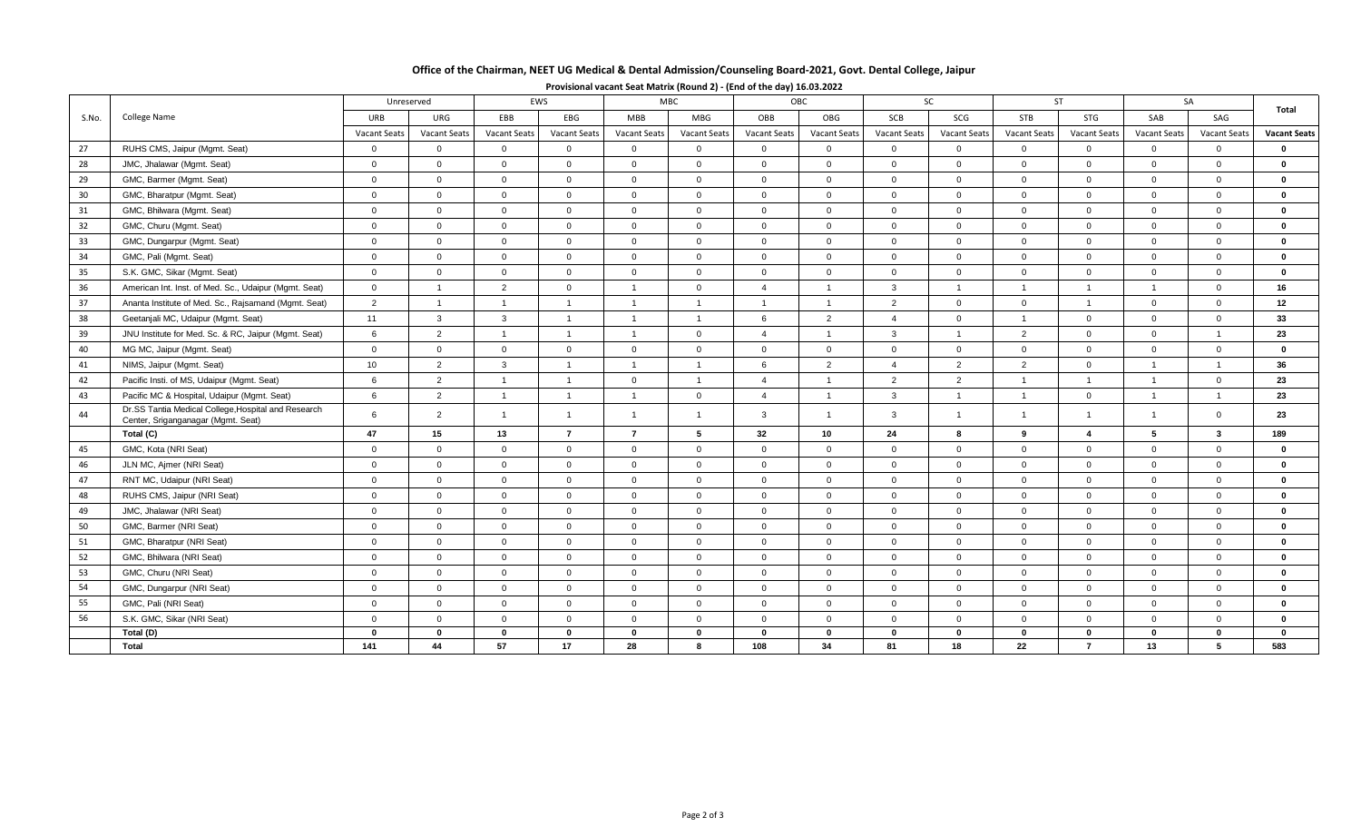# **Office of the Chairman, NEET UG Medical & Dental Admission/Counseling Board-2021, Govt. Dental College, Jaipur**

|       | College Name                                                                              |                     | EWS<br>Unreserved   |                     |                     | <b>MBC</b><br>OBC |                     |                     |                | <b>SC</b>           |                     | <b>ST</b>      |                | SA                  |                         |                     |  |
|-------|-------------------------------------------------------------------------------------------|---------------------|---------------------|---------------------|---------------------|-------------------|---------------------|---------------------|----------------|---------------------|---------------------|----------------|----------------|---------------------|-------------------------|---------------------|--|
| S.No. |                                                                                           | URB                 | URG                 | EBB                 | EBG                 | <b>MBB</b>        | <b>MBG</b>          | OBB                 | OBG            | SCB                 | SCG                 | <b>STB</b>     | STG            | SAB                 | SAG                     | Total               |  |
|       |                                                                                           | <b>Vacant Seats</b> | <b>Vacant Seats</b> | <b>Vacant Seats</b> | <b>Vacant Seats</b> | Vacant Seats      | <b>Vacant Seats</b> | <b>Vacant Seats</b> | Vacant Seats   | <b>Vacant Seats</b> | <b>Vacant Seats</b> | Vacant Seats   | Vacant Seats   | <b>Vacant Seats</b> | Vacant Seats            | <b>Vacant Seats</b> |  |
| 27    | RUHS CMS, Jaipur (Mgmt. Seat)                                                             | $\mathbf 0$         | $\overline{0}$      | $\mathbf{0}$        | $\overline{0}$      | $\mathbf 0$       | $\overline{0}$      | $\mathbf 0$         | $\overline{0}$ | $\overline{0}$      | $\mathbf 0$         | $\overline{0}$ | $\mathbf 0$    | $\mathbf{0}$        | $\mathbf{0}$            | $\mathbf 0$         |  |
| 28    | JMC, Jhalawar (Mgmt. Seat)                                                                | $\mathbf{0}$        | $\Omega$            | $\Omega$            | $\mathbf{0}$        | $\overline{0}$    | $\overline{0}$      | $\mathbf{0}$        | $\overline{0}$ | $\mathbf{0}$        | $\mathbf{0}$        | $\overline{0}$ | $\overline{0}$ | $\Omega$            | $\Omega$                | $\bf{0}$            |  |
| 29    | GMC, Barmer (Mgmt. Seat)                                                                  | $\mathbf{0}$        | $\overline{0}$      | $\mathbf{0}$        | $\mathbf{0}$        | $\overline{0}$    | $\overline{0}$      | $\mathbf{0}$        | $\overline{0}$ | $\mathbf{0}$        | $\overline{0}$      | $\overline{0}$ | $\overline{0}$ | $\mathbf{0}$        | $\overline{0}$          | $\bf{0}$            |  |
| 30    | GMC, Bharatpur (Mgmt. Seat)                                                               | $\mathbf 0$         | $\overline{0}$      | $\mathbf 0$         | $\overline{0}$      | $\overline{0}$    | $\overline{0}$      | $\mathbf{0}$        | $\overline{0}$ | $\mathbf 0$         | $\mathbf 0$         | $\overline{0}$ | $\overline{0}$ | $\mathbf 0$         | $\overline{0}$          | $\mathbf 0$         |  |
| 31    | GMC, Bhilwara (Mgmt. Seat)                                                                | $\overline{0}$      | $\overline{0}$      | $\overline{0}$      | $\mathbf{0}$        | $\overline{0}$    | $\overline{0}$      | $\mathbf{0}$        | $\overline{0}$ | $\mathbf 0$         | $\overline{0}$      | $\overline{0}$ | $\overline{0}$ | $\mathbf{0}$        | $\overline{0}$          | $\mathbf 0$         |  |
| 32    | GMC, Churu (Mgmt. Seat)                                                                   | $\mathbf{0}$        | $\overline{0}$      | $\overline{0}$      | $\mathbf{0}$        | $\Omega$          | $\Omega$            | $\mathbf{0}$        | $\overline{0}$ | $\overline{0}$      | $\overline{0}$      | $\overline{0}$ | $\Omega$       | $\Omega$            | $\Omega$                | $\bf{0}$            |  |
| 33    | GMC, Dungarpur (Mgmt. Seat)                                                               | $\overline{0}$      | $\overline{0}$      | $\overline{0}$      | $\overline{0}$      | $\overline{0}$    | $\Omega$            | $\mathbf{0}$        | $\overline{0}$ | $\overline{0}$      | $\overline{0}$      | $\overline{0}$ | $\overline{0}$ | $\Omega$            | $\overline{0}$          | $\mathbf 0$         |  |
| 34    | GMC, Pali (Mgmt. Seat)                                                                    | $\overline{0}$      | $\overline{0}$      | $\mathbf{0}$        | $\mathbf 0$         | $\mathbf 0$       | $\mathbf 0$         | $\overline{0}$      | $\overline{0}$ | $\overline{0}$      | $\overline{0}$      | $\overline{0}$ | $\overline{0}$ | $\overline{0}$      | $\overline{0}$          | $\mathbf 0$         |  |
| 35    | S.K. GMC, Sikar (Mgmt. Seat)                                                              | $\overline{0}$      | $\overline{0}$      | $\mathbf{0}$        | $\Omega$            | $\overline{0}$    | $\overline{0}$      | $\mathbf{0}$        | $\overline{0}$ | $\mathbf{0}$        | $\overline{0}$      | $\overline{0}$ | $\overline{0}$ | $\overline{0}$      | $\overline{0}$          | $\bf{0}$            |  |
| 36    | American Int. Inst. of Med. Sc., Udaipur (Mgmt. Seat)                                     | $\overline{0}$      | $\overline{1}$      | 2                   | $\overline{0}$      | $\overline{1}$    | $\overline{0}$      | $\overline{4}$      | $\overline{1}$ | $\mathbf{3}$        | $\mathbf{1}$        | $\overline{1}$ | $\overline{1}$ | $\mathbf{1}$        | $\overline{0}$          | 16                  |  |
| 37    | Ananta Institute of Med. Sc., Rajsamand (Mgmt. Seat)                                      | $\overline{2}$      | $\overline{1}$      | $\overline{1}$      | $\overline{1}$      | $\overline{1}$    | $\overline{1}$      | $\overline{1}$      | $\overline{1}$ | 2                   | $\overline{0}$      | $\overline{0}$ | $\overline{1}$ | $\overline{0}$      | $\Omega$                | 12                  |  |
| 38    | Geetanjali MC, Udaipur (Mgmt. Seat)                                                       | 11                  | $\mathbf{3}$        | 3                   | $\overline{1}$      | $\overline{1}$    | $\overline{1}$      | 6                   | 2              | $\overline{4}$      | $\mathbf 0$         | $\overline{1}$ | $\mathbf 0$    | $\mathbf 0$         | $\overline{0}$          | 33                  |  |
| 39    | JNU Institute for Med. Sc. & RC, Jaipur (Mgmt. Seat)                                      | 6                   | 2                   | $\overline{1}$      | $\overline{1}$      | $\overline{1}$    | $\overline{0}$      | $\overline{4}$      | $\overline{1}$ | $\mathbf{3}$        | $\overline{1}$      | 2              | $\overline{0}$ | $\mathbf{0}$        | $\overline{1}$          | 23                  |  |
| 40    | MG MC, Jaipur (Mgmt. Seat)                                                                | $\overline{0}$      | $\overline{0}$      | $\overline{0}$      | $\overline{0}$      | $\overline{0}$    | $\overline{0}$      | $\mathbf{0}$        | $\overline{0}$ | $\overline{0}$      | $\mathbf 0$         | $\overline{0}$ | $\overline{0}$ | $\mathbf{0}$        | $\mathbf{0}$            | $\mathbf 0$         |  |
| 41    | NIMS, Jaipur (Mgmt. Seat)                                                                 | 10                  | 2                   | $\mathbf{3}$        | $\overline{1}$      | $\overline{1}$    | $\overline{1}$      | 6                   | $\overline{2}$ | $\overline{4}$      | $\overline{2}$      | 2              | $\overline{0}$ | $\mathbf{1}$        | $\mathbf{1}$            | 36                  |  |
| 42    | Pacific Insti. of MS, Udaipur (Mgmt. Seat)                                                | 6                   | 2                   | $\overline{1}$      | -1                  | $\overline{0}$    | $\overline{1}$      | $\overline{4}$      | $\overline{1}$ | 2                   | 2                   | $\overline{1}$ | $\overline{1}$ | $\overline{1}$      | $\overline{0}$          | 23                  |  |
| 43    | Pacific MC & Hospital, Udaipur (Mgmt. Seat)                                               | 6                   | 2                   | $\overline{1}$      | $\overline{1}$      | $\overline{1}$    | $\overline{0}$      | $\overline{4}$      | $\overline{1}$ | $\mathbf{3}$        | $\overline{1}$      | $\overline{1}$ | $\overline{0}$ | $\mathbf{1}$        | $\mathbf{1}$            | 23                  |  |
| 44    | Dr.SS Tantia Medical College, Hospital and Research<br>Center, Sriganganagar (Mgmt. Seat) | 6                   | 2                   | $\overline{1}$      | $\overline{1}$      | $\overline{1}$    | $\overline{1}$      | 3                   | $\overline{1}$ | $\mathbf{3}$        | $\mathbf{1}$        | $\overline{1}$ | $\overline{1}$ | $\mathbf{1}$        | $\Omega$                | 23                  |  |
|       | Total (C)                                                                                 | 47                  | 15                  | 13                  | $\overline{7}$      | $\overline{7}$    | 5                   | 32                  | 10             | 24                  | 8                   | 9              | $\overline{4}$ | 5                   | $\overline{\mathbf{3}}$ | 189                 |  |
| 45    | GMC, Kota (NRI Seat)                                                                      | $\overline{0}$      | $\overline{0}$      | $\overline{0}$      | $\overline{0}$      | $\overline{0}$    | $\overline{0}$      | $\mathbf{0}$        | $\overline{0}$ | $\overline{0}$      | $\overline{0}$      | $\overline{0}$ | $\overline{0}$ | $\mathbf{0}$        | $\overline{0}$          | $\mathbf 0$         |  |
| 46    | JLN MC, Ajmer (NRI Seat)                                                                  | $\mathbf{0}$        | $\Omega$            | $\Omega$            | $\overline{0}$      | $\overline{0}$    | $\Omega$            | $\mathbf{0}$        | $\overline{0}$ | $\Omega$            | $\Omega$            | $\overline{0}$ | $\overline{0}$ | $\Omega$            | $\Omega$                | $\bf{0}$            |  |
| 47    | RNT MC, Udaipur (NRI Seat)                                                                | $\overline{0}$      | $\overline{0}$      | $\mathbf{0}$        | $\overline{0}$      | $\overline{0}$    | $\mathbf 0$         | $\mathbf 0$         | $\overline{0}$ | $\overline{0}$      | $\overline{0}$      | $\overline{0}$ | $\overline{0}$ | $\mathbf{0}$        | $\overline{0}$          | $\mathbf 0$         |  |
| 48    | RUHS CMS, Jaipur (NRI Seat)                                                               | $\mathbf 0$         | $\overline{0}$      | $\overline{0}$      | $\Omega$            | $\overline{0}$    | $\overline{0}$      | $\mathbf{0}$        | $\overline{0}$ | $\mathbf{0}$        | $\overline{0}$      | $\overline{0}$ | $\overline{0}$ | $\mathbf{0}$        | $\mathbf{0}$            | $\mathbf{0}$        |  |
| 49    | JMC, Jhalawar (NRI Seat)                                                                  | $\mathbf{0}$        | $\overline{0}$      | $\overline{0}$      | $\overline{0}$      | $\overline{0}$    | $\overline{0}$      | $\mathbf{0}$        | $\overline{0}$ | $\mathbf{0}$        | $\overline{0}$      | $\overline{0}$ | $\overline{0}$ | $\mathbf{0}$        | $\overline{0}$          | $\mathbf 0$         |  |
| 50    | GMC, Barmer (NRI Seat)                                                                    | $\mathbf{0}$        | $\overline{0}$      | $\mathbf{0}$        | $\overline{0}$      | $\Omega$          | $\Omega$            | $\Omega$            | $\overline{0}$ | $\overline{0}$      | $\overline{0}$      | $\overline{0}$ | $\Omega$       | $\mathbf{0}$        | $\Omega$                | $\mathbf{0}$        |  |
| 51    | GMC, Bharatpur (NRI Seat)                                                                 | $\mathbf{0}$        | $\overline{0}$      | $\mathbf{0}$        | $\overline{0}$      | $\overline{0}$    | $\overline{0}$      | $\mathbf{0}$        | $\overline{0}$ | $\overline{0}$      | $\mathbf{0}$        | $\overline{0}$ | $\overline{0}$ | $\mathbf{0}$        | $\overline{0}$          | $\mathbf 0$         |  |
| 52    | GMC, Bhilwara (NRI Seat)                                                                  | $\overline{0}$      | $\overline{0}$      | $\overline{0}$      | $\overline{0}$      | $\overline{0}$    | $\overline{0}$      | $\mathbf 0$         | $\overline{0}$ | $\mathbf 0$         | $\mathbf 0$         | $\overline{0}$ | $\overline{0}$ | $\mathbf{0}$        | $\mathbf{0}$            | $\mathbf 0$         |  |
| 53    | GMC, Churu (NRI Seat)                                                                     | $\mathsf 0$         | $\overline{0}$      | $\mathbf 0$         | $\mathbf 0$         | $\mathbf 0$       | $\overline{0}$      | $\mathbf 0$         | $\overline{0}$ | $\mathbf 0$         | $\mathbf 0$         | $\overline{0}$ | $\mathbf 0$    | $\mathbf{0}$        | $\mathbf{0}$            | $\mathbf 0$         |  |
| 54    | GMC, Dungarpur (NRI Seat)                                                                 | $\mathbf{0}$        | $\overline{0}$      | $\mathbf{0}$        | $\mathbf{0}$        | $\overline{0}$    | $\overline{0}$      | $\mathbf{0}$        | $\overline{0}$ | $\mathbf{0}$        | $\overline{0}$      | $\overline{0}$ | $\overline{0}$ | $\mathbf{0}$        | $\Omega$                | $\bf{0}$            |  |
| 55    | GMC, Pali (NRI Seat)                                                                      | $\overline{0}$      | $\overline{0}$      | $\overline{0}$      | $\mathbf{0}$        | $\overline{0}$    | $\overline{0}$      | $\mathbf{0}$        | $\overline{0}$ | $\mathbf 0$         | $\overline{0}$      | $\overline{0}$ | $\overline{0}$ | $\mathbf{0}$        | $\overline{0}$          | $\mathbf 0$         |  |
| 56    | S.K. GMC, Sikar (NRI Seat)                                                                | $\overline{0}$      | $\overline{0}$      | $\mathbf{0}$        | $\overline{0}$      | $\overline{0}$    | $\overline{0}$      | $\mathbf{0}$        | $\overline{0}$ | $\overline{0}$      | $\overline{0}$      | $\overline{0}$ | $\overline{0}$ | $\mathbf{0}$        | $\overline{0}$          | $\mathbf 0$         |  |
|       | Total (D)                                                                                 | $\mathbf{0}$        | $\Omega$            | $\mathbf{0}$        | $\mathbf{0}$        | $\mathbf 0$       | $\Omega$            | $\mathbf{0}$        | $\mathbf{0}$   | $\mathbf{0}$        | $\mathbf 0$         | $\mathbf 0$    | $\mathbf 0$    | $\bf{0}$            | $\Omega$                | $\Omega$            |  |
|       | Total                                                                                     | 141                 | 44                  | 57                  | 17                  | 28                | R                   | 108                 | 34             | 81                  | 18                  | 22             | $\overline{7}$ | 13                  | 5                       | 583                 |  |

## **Provisional vacant Seat Matrix (Round 2) - (End of the day) 16.03.2022**